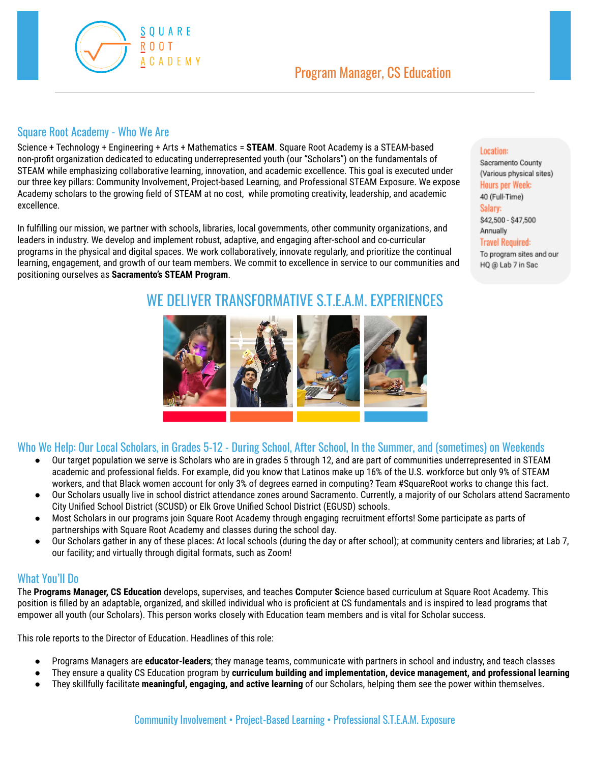

Location:

Sacramento County (Various physical sites) Hours per Week: 40 (Full-Time) Salary:

\$42,500 - \$47,500 Annually **Travel Required:** To program sites and our HQ @ Lab 7 in Sac

Program Manager, CS Education

Science + Technology + Engineering + Arts + Mathematics = **STEAM**. Square Root Academy is a STEAM-based non-profit organization dedicated to educating underrepresented youth (our "Scholars") on the fundamentals of STEAM while emphasizing collaborative learning, innovation, and academic excellence. This goal is executed under our three key pillars: Community Involvement, Project-based Learning, and Professional STEAM Exposure. We expose Academy scholars to the growing field of STEAM at no cost, while promoting creativity, leadership, and academic excellence.

In fulfilling our mission, we partner with schools, libraries, local governments, other community organizations, and leaders in industry. We develop and implement robust, adaptive, and engaging after-school and co-curricular programs in the physical and digital spaces. We work collaboratively, innovate regularly, and prioritize the continual learning, engagement, and growth of our team members. We commit to excellence in service to our communities and positioning ourselves as **Sacramento's STEAM Program**.

# WE DELIVER TRANSFORMATIVE S.T.E.A.M. EXPERIENCES



## Who We Help: Our Local Scholars, in Grades 5-12 - During School, After School, In the Summer, and (sometimes) on Weekends

- Our target population we serve is Scholars who are in grades 5 through 12, and are part of communities underrepresented in STEAM academic and professional fields. For example, did you know that Latinos make up 16% of the U.S. workforce but only 9% of STEAM workers, and that Black women account for only 3% of degrees earned in computing? Team #SquareRoot works to change this fact.
- Our Scholars usually live in school district attendance zones around Sacramento. Currently, a majority of our Scholars attend Sacramento City Unified School District (SCUSD) or Elk Grove Unified School District (EGUSD) schools.
- Most Scholars in our programs join Square Root Academy through engaging recruitment efforts! Some participate as parts of partnerships with Square Root Academy and classes during the school day.
- Our Scholars gather in any of these places: At local schools (during the day or after school); at community centers and libraries; at Lab 7, our facility; and virtually through digital formats, such as Zoom!

#### What You'll Do

Square Root Academy - Who We Are

 $S$   $0$  U A R E **ROOT** 

**ACADEMY** 

The **Programs Manager, CS Education** develops, supervises, and teaches **C**omputer **S**cience based curriculum at Square Root Academy. This position is filled by an adaptable, organized, and skilled individual who is proficient at CS fundamentals and is inspired to lead programs that empower all youth (our Scholars). This person works closely with Education team members and is vital for Scholar success.

This role reports to the Director of Education. Headlines of this role:

- Programs Managers are **educator-leaders**; they manage teams, communicate with partners in school and industry, and teach classes
- They ensure a quality CS Education program by **curriculum building and implementation, device management, and professional learning**
- They skillfully facilitate **meaningful, engaging, and active learning** of our Scholars, helping them see the power within themselves.